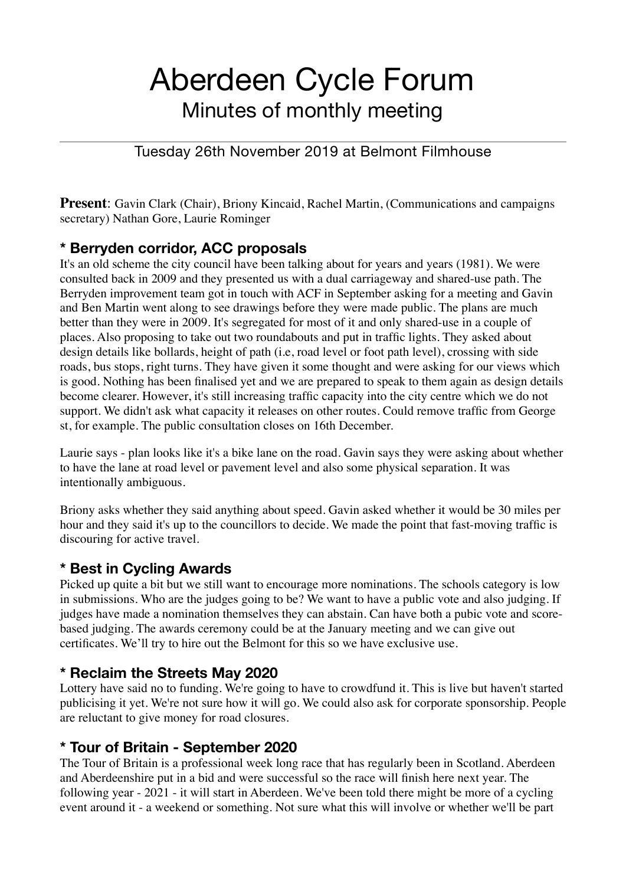# Aberdeen Cycle Forum Minutes of monthly meeting

#### Tuesday 26th November 2019 at Belmont Filmhouse

**Present**: Gavin Clark (Chair), Briony Kincaid, Rachel Martin, (Communications and campaigns secretary) Nathan Gore, Laurie Rominger

#### **\* Berryden corridor, ACC proposals**

It's an old scheme the city council have been talking about for years and years (1981). We were consulted back in 2009 and they presented us with a dual carriageway and shared-use path. The Berryden improvement team got in touch with ACF in September asking for a meeting and Gavin and Ben Martin went along to see drawings before they were made public. The plans are much better than they were in 2009. It's segregated for most of it and only shared-use in a couple of places. Also proposing to take out two roundabouts and put in traffic lights. They asked about design details like bollards, height of path (i.e, road level or foot path level), crossing with side roads, bus stops, right turns. They have given it some thought and were asking for our views which is good. Nothing has been finalised yet and we are prepared to speak to them again as design details become clearer. However, it's still increasing traffic capacity into the city centre which we do not support. We didn't ask what capacity it releases on other routes. Could remove traffic from George st, for example. The public consultation closes on 16th December.

Laurie says - plan looks like it's a bike lane on the road. Gavin says they were asking about whether to have the lane at road level or pavement level and also some physical separation. It was intentionally ambiguous.

Briony asks whether they said anything about speed. Gavin asked whether it would be 30 miles per hour and they said it's up to the councillors to decide. We made the point that fast-moving traffic is discouring for active travel.

#### **\* Best in Cycling Awards**

Picked up quite a bit but we still want to encourage more nominations. The schools category is low in submissions. Who are the judges going to be? We want to have a public vote and also judging. If judges have made a nomination themselves they can abstain. Can have both a pubic vote and scorebased judging. The awards ceremony could be at the January meeting and we can give out certificates. We'll try to hire out the Belmont for this so we have exclusive use.

# **\* Reclaim the Streets May 2020**

Lottery have said no to funding. We're going to have to crowdfund it. This is live but haven't started publicising it yet. We're not sure how it will go. We could also ask for corporate sponsorship. People are reluctant to give money for road closures.

# **\* Tour of Britain - September 2020**

The Tour of Britain is a professional week long race that has regularly been in Scotland. Aberdeen and Aberdeenshire put in a bid and were successful so the race will finish here next year. The following year - 2021 - it will start in Aberdeen. We've been told there might be more of a cycling event around it - a weekend or something. Not sure what this will involve or whether we'll be part